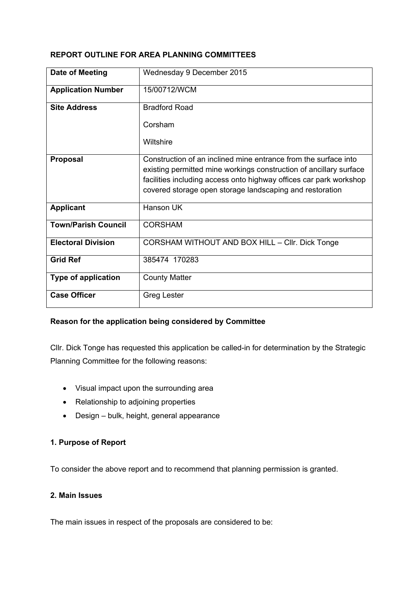### **REPORT OUTLINE FOR AREA PLANNING COMMITTEES**

| Date of Meeting            | Wednesday 9 December 2015                                                                                                                                                                                                                                               |  |  |  |  |  |  |
|----------------------------|-------------------------------------------------------------------------------------------------------------------------------------------------------------------------------------------------------------------------------------------------------------------------|--|--|--|--|--|--|
| <b>Application Number</b>  | 15/00712/WCM                                                                                                                                                                                                                                                            |  |  |  |  |  |  |
| <b>Site Address</b>        | <b>Bradford Road</b>                                                                                                                                                                                                                                                    |  |  |  |  |  |  |
|                            | Corsham                                                                                                                                                                                                                                                                 |  |  |  |  |  |  |
|                            | Wiltshire                                                                                                                                                                                                                                                               |  |  |  |  |  |  |
| <b>Proposal</b>            | Construction of an inclined mine entrance from the surface into<br>existing permitted mine workings construction of ancillary surface<br>facilities including access onto highway offices car park workshop<br>covered storage open storage landscaping and restoration |  |  |  |  |  |  |
| <b>Applicant</b>           | Hanson UK                                                                                                                                                                                                                                                               |  |  |  |  |  |  |
| <b>Town/Parish Council</b> | <b>CORSHAM</b>                                                                                                                                                                                                                                                          |  |  |  |  |  |  |
| <b>Electoral Division</b>  | CORSHAM WITHOUT AND BOX HILL - CIIr. Dick Tonge                                                                                                                                                                                                                         |  |  |  |  |  |  |
| <b>Grid Ref</b>            | 385474 170283                                                                                                                                                                                                                                                           |  |  |  |  |  |  |
| <b>Type of application</b> | <b>County Matter</b>                                                                                                                                                                                                                                                    |  |  |  |  |  |  |
| <b>Case Officer</b>        | <b>Greg Lester</b>                                                                                                                                                                                                                                                      |  |  |  |  |  |  |

# **Reason for the application being considered by Committee**

Cllr. Dick Tonge has requested this application be called-in for determination by the Strategic Planning Committee for the following reasons:

- Visual impact upon the surrounding area
- Relationship to adjoining properties
- Design bulk, height, general appearance

# **1. Purpose of Report**

To consider the above report and to recommend that planning permission is granted.

# **2. Main Issues**

The main issues in respect of the proposals are considered to be: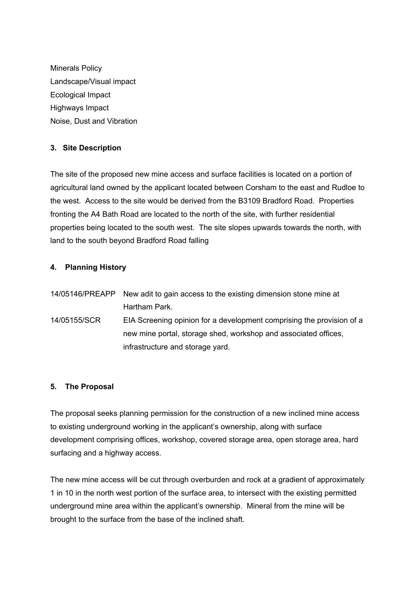Minerals Policy Landscape/Visual impact Ecological Impact Highways Impact Noise, Dust and Vibration

# **3. Site Description**

The site of the proposed new mine access and surface facilities is located on a portion of agricultural land owned by the applicant located between Corsham to the east and Rudloe to the west. Access to the site would be derived from the B3109 Bradford Road. Properties fronting the A4 Bath Road are located to the north of the site, with further residential properties being located to the south west. The site slopes upwards towards the north, with land to the south beyond Bradford Road falling

# **4. Planning History**

| .                                                                               |               |  |  |  |  |  |
|---------------------------------------------------------------------------------|---------------|--|--|--|--|--|
|                                                                                 | Hartham Park. |  |  |  |  |  |
| 14/05146/PREAPP New adit to gain access to the existing dimension stone mine at |               |  |  |  |  |  |

14/05155/SCR EIA Screening opinion for a development comprising the provision of a new mine portal, storage shed, workshop and associated offices, infrastructure and storage yard.

# **5. The Proposal**

The proposal seeks planning permission for the construction of a new inclined mine access to existing underground working in the applicant's ownership, along with surface development comprising offices, workshop, covered storage area, open storage area, hard surfacing and a highway access.

The new mine access will be cut through overburden and rock at a gradient of approximately 1 in 10 in the north west portion of the surface area, to intersect with the existing permitted underground mine area within the applicant's ownership. Mineral from the mine will be brought to the surface from the base of the inclined shaft.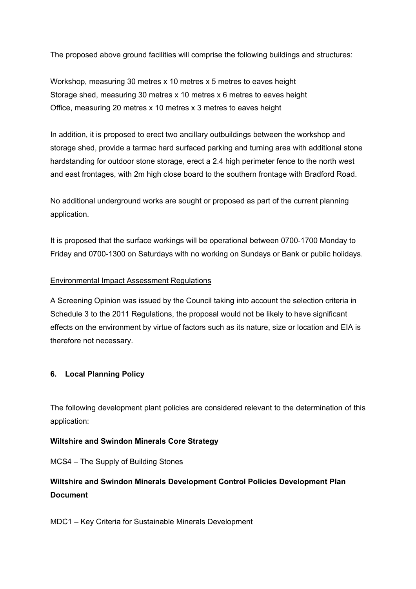The proposed above ground facilities will comprise the following buildings and structures:

Workshop, measuring 30 metres x 10 metres x 5 metres to eaves height Storage shed, measuring 30 metres x 10 metres x 6 metres to eaves height Office, measuring 20 metres x 10 metres x 3 metres to eaves height

In addition, it is proposed to erect two ancillary outbuildings between the workshop and storage shed, provide a tarmac hard surfaced parking and turning area with additional stone hardstanding for outdoor stone storage, erect a 2.4 high perimeter fence to the north west and east frontages, with 2m high close board to the southern frontage with Bradford Road.

No additional underground works are sought or proposed as part of the current planning application.

It is proposed that the surface workings will be operational between 0700-1700 Monday to Friday and 0700-1300 on Saturdays with no working on Sundays or Bank or public holidays.

#### Environmental Impact Assessment Regulations

A Screening Opinion was issued by the Council taking into account the selection criteria in Schedule 3 to the 2011 Regulations, the proposal would not be likely to have significant effects on the environment by virtue of factors such as its nature, size or location and EIA is therefore not necessary.

#### **6. Local Planning Policy**

The following development plant policies are considered relevant to the determination of this application:

#### **Wiltshire and Swindon Minerals Core Strategy**

MCS4 – The Supply of Building Stones

# **Wiltshire and Swindon Minerals Development Control Policies Development Plan Document**

MDC1 – Key Criteria for Sustainable Minerals Development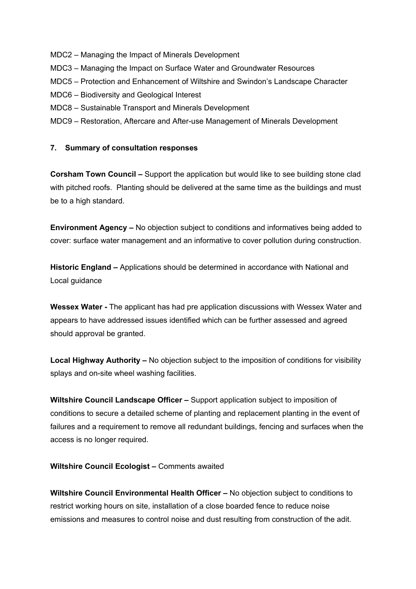- MDC2 Managing the Impact of Minerals Development
- MDC3 Managing the Impact on Surface Water and Groundwater Resources
- MDC5 Protection and Enhancement of Wiltshire and Swindon's Landscape Character
- MDC6 Biodiversity and Geological Interest
- MDC8 Sustainable Transport and Minerals Development
- MDC9 Restoration, Aftercare and After-use Management of Minerals Development

#### **7. Summary of consultation responses**

**Corsham Town Council –** Support the application but would like to see building stone clad with pitched roofs. Planting should be delivered at the same time as the buildings and must be to a high standard.

**Environment Agency –** No objection subject to conditions and informatives being added to cover: surface water management and an informative to cover pollution during construction.

**Historic England –** Applications should be determined in accordance with National and Local guidance

**Wessex Water -** The applicant has had pre application discussions with Wessex Water and appears to have addressed issues identified which can be further assessed and agreed should approval be granted.

**Local Highway Authority –** No objection subject to the imposition of conditions for visibility splays and on-site wheel washing facilities.

**Wiltshire Council Landscape Officer –** Support application subject to imposition of conditions to secure a detailed scheme of planting and replacement planting in the event of failures and a requirement to remove all redundant buildings, fencing and surfaces when the access is no longer required.

**Wiltshire Council Ecologist –** Comments awaited

**Wiltshire Council Environmental Health Officer –** No objection subject to conditions to restrict working hours on site, installation of a close boarded fence to reduce noise emissions and measures to control noise and dust resulting from construction of the adit.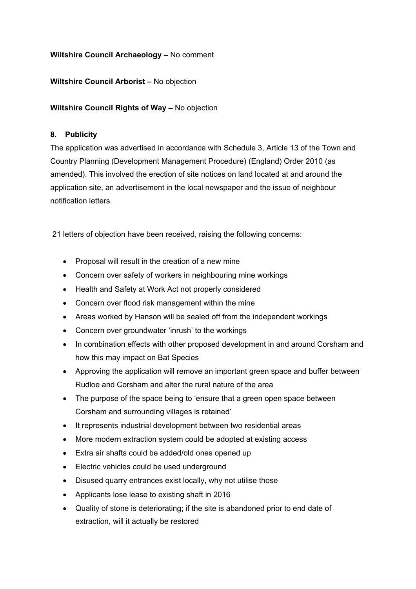## **Wiltshire Council Archaeology –** No comment

### **Wiltshire Council Arborist –** No objection

### **Wiltshire Council Rights of Way –** No objection

### **8. Publicity**

The application was advertised in accordance with Schedule 3, Article 13 of the Town and Country Planning (Development Management Procedure) (England) Order 2010 (as amended). This involved the erection of site notices on land located at and around the application site, an advertisement in the local newspaper and the issue of neighbour notification letters.

21 letters of objection have been received, raising the following concerns:

- Proposal will result in the creation of a new mine
- Concern over safety of workers in neighbouring mine workings
- Health and Safety at Work Act not properly considered
- Concern over flood risk management within the mine
- Areas worked by Hanson will be sealed off from the independent workings
- Concern over groundwater 'inrush' to the workings
- In combination effects with other proposed development in and around Corsham and how this may impact on Bat Species
- Approving the application will remove an important green space and buffer between Rudloe and Corsham and alter the rural nature of the area
- The purpose of the space being to 'ensure that a green open space between Corsham and surrounding villages is retained'
- It represents industrial development between two residential areas
- More modern extraction system could be adopted at existing access
- Extra air shafts could be added/old ones opened up
- Electric vehicles could be used underground
- Disused quarry entrances exist locally, why not utilise those
- Applicants lose lease to existing shaft in 2016
- Quality of stone is deteriorating; if the site is abandoned prior to end date of extraction, will it actually be restored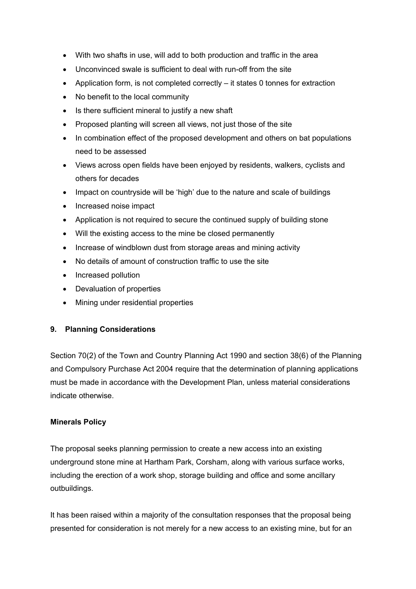- With two shafts in use, will add to both production and traffic in the area
- Unconvinced swale is sufficient to deal with run-off from the site
- Application form, is not completed correctly it states 0 tonnes for extraction
- No benefit to the local community
- Is there sufficient mineral to justify a new shaft
- Proposed planting will screen all views, not just those of the site
- In combination effect of the proposed development and others on bat populations need to be assessed
- Views across open fields have been enjoyed by residents, walkers, cyclists and others for decades
- Impact on countryside will be 'high' due to the nature and scale of buildings
- Increased noise impact
- Application is not required to secure the continued supply of building stone
- Will the existing access to the mine be closed permanently
- Increase of windblown dust from storage areas and mining activity
- No details of amount of construction traffic to use the site
- Increased pollution
- Devaluation of properties
- Mining under residential properties

# **9. Planning Considerations**

Section 70(2) of the Town and Country Planning Act 1990 and section 38(6) of the Planning and Compulsory Purchase Act 2004 require that the determination of planning applications must be made in accordance with the Development Plan, unless material considerations indicate otherwise.

# **Minerals Policy**

The proposal seeks planning permission to create a new access into an existing underground stone mine at Hartham Park, Corsham, along with various surface works, including the erection of a work shop, storage building and office and some ancillary outbuildings.

It has been raised within a majority of the consultation responses that the proposal being presented for consideration is not merely for a new access to an existing mine, but for an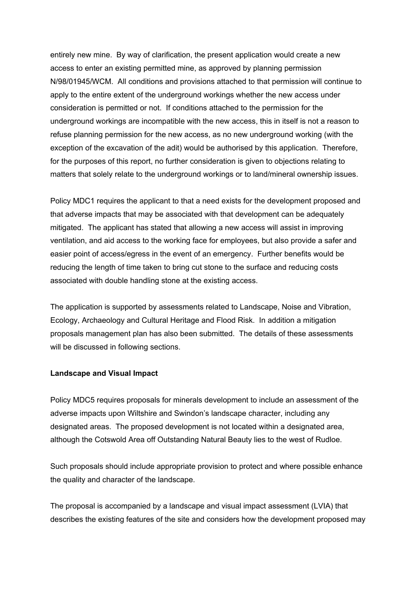entirely new mine. By way of clarification, the present application would create a new access to enter an existing permitted mine, as approved by planning permission N/98/01945/WCM. All conditions and provisions attached to that permission will continue to apply to the entire extent of the underground workings whether the new access under consideration is permitted or not. If conditions attached to the permission for the underground workings are incompatible with the new access, this in itself is not a reason to refuse planning permission for the new access, as no new underground working (with the exception of the excavation of the adit) would be authorised by this application. Therefore, for the purposes of this report, no further consideration is given to objections relating to matters that solely relate to the underground workings or to land/mineral ownership issues.

Policy MDC1 requires the applicant to that a need exists for the development proposed and that adverse impacts that may be associated with that development can be adequately mitigated. The applicant has stated that allowing a new access will assist in improving ventilation, and aid access to the working face for employees, but also provide a safer and easier point of access/egress in the event of an emergency. Further benefits would be reducing the length of time taken to bring cut stone to the surface and reducing costs associated with double handling stone at the existing access.

The application is supported by assessments related to Landscape, Noise and Vibration, Ecology, Archaeology and Cultural Heritage and Flood Risk. In addition a mitigation proposals management plan has also been submitted. The details of these assessments will be discussed in following sections.

#### **Landscape and Visual Impact**

Policy MDC5 requires proposals for minerals development to include an assessment of the adverse impacts upon Wiltshire and Swindon's landscape character, including any designated areas. The proposed development is not located within a designated area, although the Cotswold Area off Outstanding Natural Beauty lies to the west of Rudloe.

Such proposals should include appropriate provision to protect and where possible enhance the quality and character of the landscape.

The proposal is accompanied by a landscape and visual impact assessment (LVIA) that describes the existing features of the site and considers how the development proposed may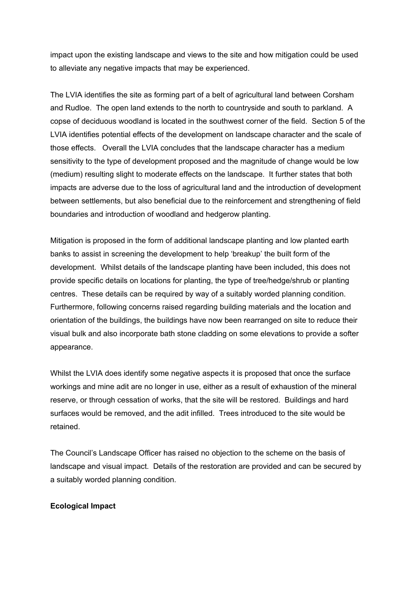impact upon the existing landscape and views to the site and how mitigation could be used to alleviate any negative impacts that may be experienced.

The LVIA identifies the site as forming part of a belt of agricultural land between Corsham and Rudloe. The open land extends to the north to countryside and south to parkland. A copse of deciduous woodland is located in the southwest corner of the field. Section 5 of the LVIA identifies potential effects of the development on landscape character and the scale of those effects. Overall the LVIA concludes that the landscape character has a medium sensitivity to the type of development proposed and the magnitude of change would be low (medium) resulting slight to moderate effects on the landscape. It further states that both impacts are adverse due to the loss of agricultural land and the introduction of development between settlements, but also beneficial due to the reinforcement and strengthening of field boundaries and introduction of woodland and hedgerow planting.

Mitigation is proposed in the form of additional landscape planting and low planted earth banks to assist in screening the development to help 'breakup' the built form of the development. Whilst details of the landscape planting have been included, this does not provide specific details on locations for planting, the type of tree/hedge/shrub or planting centres. These details can be required by way of a suitably worded planning condition. Furthermore, following concerns raised regarding building materials and the location and orientation of the buildings, the buildings have now been rearranged on site to reduce their visual bulk and also incorporate bath stone cladding on some elevations to provide a softer appearance.

Whilst the LVIA does identify some negative aspects it is proposed that once the surface workings and mine adit are no longer in use, either as a result of exhaustion of the mineral reserve, or through cessation of works, that the site will be restored. Buildings and hard surfaces would be removed, and the adit infilled. Trees introduced to the site would be retained.

The Council's Landscape Officer has raised no objection to the scheme on the basis of landscape and visual impact. Details of the restoration are provided and can be secured by a suitably worded planning condition.

#### **Ecological Impact**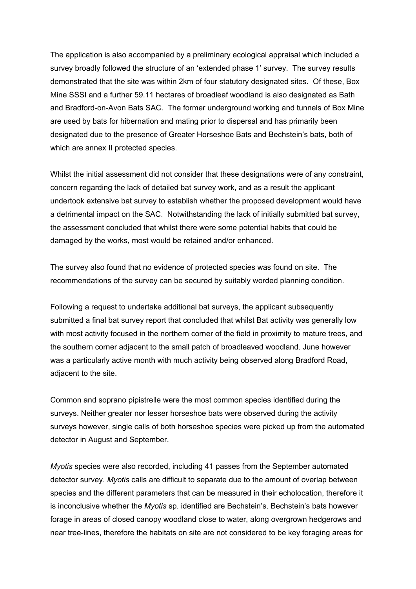The application is also accompanied by a preliminary ecological appraisal which included a survey broadly followed the structure of an 'extended phase 1' survey. The survey results demonstrated that the site was within 2km of four statutory designated sites. Of these, Box Mine SSSI and a further 59.11 hectares of broadleaf woodland is also designated as Bath and Bradford-on-Avon Bats SAC. The former underground working and tunnels of Box Mine are used by bats for hibernation and mating prior to dispersal and has primarily been designated due to the presence of Greater Horseshoe Bats and Bechstein's bats, both of which are annex II protected species.

Whilst the initial assessment did not consider that these designations were of any constraint, concern regarding the lack of detailed bat survey work, and as a result the applicant undertook extensive bat survey to establish whether the proposed development would have a detrimental impact on the SAC. Notwithstanding the lack of initially submitted bat survey, the assessment concluded that whilst there were some potential habits that could be damaged by the works, most would be retained and/or enhanced.

The survey also found that no evidence of protected species was found on site. The recommendations of the survey can be secured by suitably worded planning condition.

Following a request to undertake additional bat surveys, the applicant subsequently submitted a final bat survey report that concluded that whilst Bat activity was generally low with most activity focused in the northern corner of the field in proximity to mature trees, and the southern corner adjacent to the small patch of broadleaved woodland. June however was a particularly active month with much activity being observed along Bradford Road, adjacent to the site.

Common and soprano pipistrelle were the most common species identified during the surveys. Neither greater nor lesser horseshoe bats were observed during the activity surveys however, single calls of both horseshoe species were picked up from the automated detector in August and September.

*Myotis* species were also recorded, including 41 passes from the September automated detector survey. *Myotis* calls are difficult to separate due to the amount of overlap between species and the different parameters that can be measured in their echolocation, therefore it is inconclusive whether the *Myotis* sp. identified are Bechstein's. Bechstein's bats however forage in areas of closed canopy woodland close to water, along overgrown hedgerows and near tree-lines, therefore the habitats on site are not considered to be key foraging areas for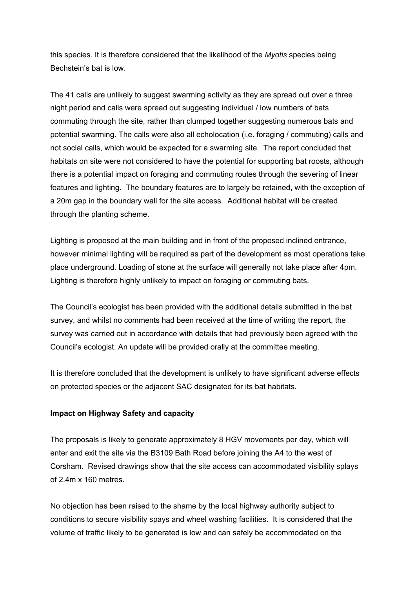this species. It is therefore considered that the likelihood of the *Myotis* species being Bechstein's bat is low.

The 41 calls are unlikely to suggest swarming activity as they are spread out over a three night period and calls were spread out suggesting individual / low numbers of bats commuting through the site, rather than clumped together suggesting numerous bats and potential swarming. The calls were also all echolocation (i.e. foraging / commuting) calls and not social calls, which would be expected for a swarming site. The report concluded that habitats on site were not considered to have the potential for supporting bat roosts, although there is a potential impact on foraging and commuting routes through the severing of linear features and lighting. The boundary features are to largely be retained, with the exception of a 20m gap in the boundary wall for the site access. Additional habitat will be created through the planting scheme.

Lighting is proposed at the main building and in front of the proposed inclined entrance, however minimal lighting will be required as part of the development as most operations take place underground. Loading of stone at the surface will generally not take place after 4pm. Lighting is therefore highly unlikely to impact on foraging or commuting bats.

The Council's ecologist has been provided with the additional details submitted in the bat survey, and whilst no comments had been received at the time of writing the report, the survey was carried out in accordance with details that had previously been agreed with the Council's ecologist. An update will be provided orally at the committee meeting.

It is therefore concluded that the development is unlikely to have significant adverse effects on protected species or the adjacent SAC designated for its bat habitats.

#### **Impact on Highway Safety and capacity**

The proposals is likely to generate approximately 8 HGV movements per day, which will enter and exit the site via the B3109 Bath Road before joining the A4 to the west of Corsham. Revised drawings show that the site access can accommodated visibility splays of 2.4m x 160 metres.

No objection has been raised to the shame by the local highway authority subject to conditions to secure visibility spays and wheel washing facilities. It is considered that the volume of traffic likely to be generated is low and can safely be accommodated on the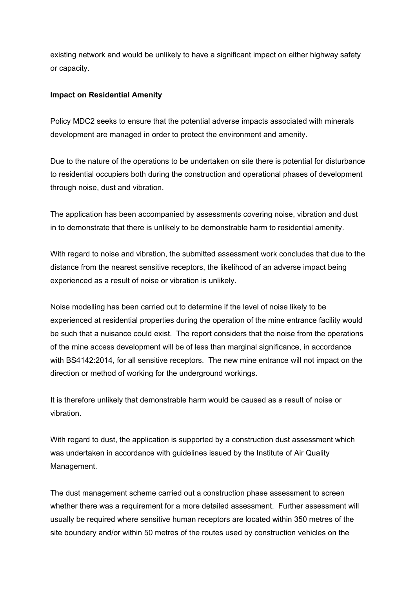existing network and would be unlikely to have a significant impact on either highway safety or capacity.

### **Impact on Residential Amenity**

Policy MDC2 seeks to ensure that the potential adverse impacts associated with minerals development are managed in order to protect the environment and amenity.

Due to the nature of the operations to be undertaken on site there is potential for disturbance to residential occupiers both during the construction and operational phases of development through noise, dust and vibration.

The application has been accompanied by assessments covering noise, vibration and dust in to demonstrate that there is unlikely to be demonstrable harm to residential amenity.

With regard to noise and vibration, the submitted assessment work concludes that due to the distance from the nearest sensitive receptors, the likelihood of an adverse impact being experienced as a result of noise or vibration is unlikely.

Noise modelling has been carried out to determine if the level of noise likely to be experienced at residential properties during the operation of the mine entrance facility would be such that a nuisance could exist. The report considers that the noise from the operations of the mine access development will be of less than marginal significance, in accordance with BS4142:2014, for all sensitive receptors. The new mine entrance will not impact on the direction or method of working for the underground workings.

It is therefore unlikely that demonstrable harm would be caused as a result of noise or vibration.

With regard to dust, the application is supported by a construction dust assessment which was undertaken in accordance with guidelines issued by the Institute of Air Quality Management.

The dust management scheme carried out a construction phase assessment to screen whether there was a requirement for a more detailed assessment. Further assessment will usually be required where sensitive human receptors are located within 350 metres of the site boundary and/or within 50 metres of the routes used by construction vehicles on the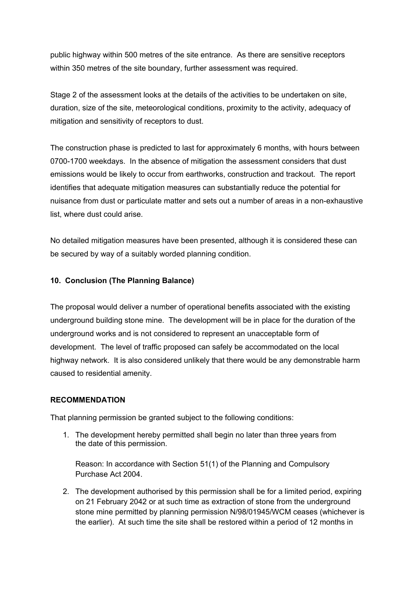public highway within 500 metres of the site entrance. As there are sensitive receptors within 350 metres of the site boundary, further assessment was required.

Stage 2 of the assessment looks at the details of the activities to be undertaken on site, duration, size of the site, meteorological conditions, proximity to the activity, adequacy of mitigation and sensitivity of receptors to dust.

The construction phase is predicted to last for approximately 6 months, with hours between 0700-1700 weekdays. In the absence of mitigation the assessment considers that dust emissions would be likely to occur from earthworks, construction and trackout. The report identifies that adequate mitigation measures can substantially reduce the potential for nuisance from dust or particulate matter and sets out a number of areas in a non-exhaustive list, where dust could arise.

No detailed mitigation measures have been presented, although it is considered these can be secured by way of a suitably worded planning condition.

### **10. Conclusion (The Planning Balance)**

The proposal would deliver a number of operational benefits associated with the existing underground building stone mine. The development will be in place for the duration of the underground works and is not considered to represent an unacceptable form of development. The level of traffic proposed can safely be accommodated on the local highway network. It is also considered unlikely that there would be any demonstrable harm caused to residential amenity.

#### **RECOMMENDATION**

That planning permission be granted subject to the following conditions:

1. The development hereby permitted shall begin no later than three years from the date of this permission.

Reason: In accordance with Section 51(1) of the Planning and Compulsory Purchase Act 2004.

2. The development authorised by this permission shall be for a limited period, expiring on 21 February 2042 or at such time as extraction of stone from the underground stone mine permitted by planning permission N/98/01945/WCM ceases (whichever is the earlier). At such time the site shall be restored within a period of 12 months in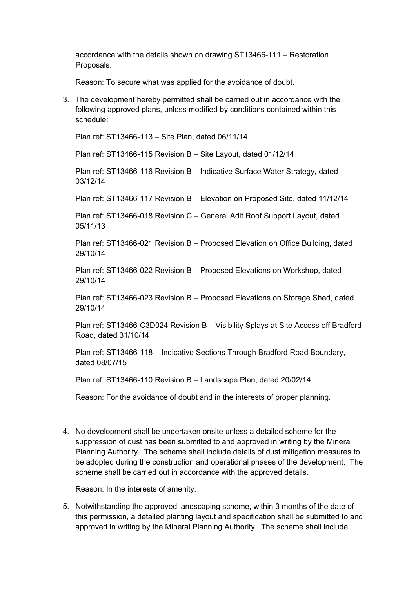accordance with the details shown on drawing ST13466-111 – Restoration Proposals.

Reason: To secure what was applied for the avoidance of doubt.

3. The development hereby permitted shall be carried out in accordance with the following approved plans, unless modified by conditions contained within this schedule:

Plan ref: ST13466-113 – Site Plan, dated 06/11/14

Plan ref: ST13466-115 Revision B – Site Layout, dated 01/12/14

Plan ref: ST13466-116 Revision B – Indicative Surface Water Strategy, dated 03/12/14

Plan ref: ST13466-117 Revision B – Elevation on Proposed Site, dated 11/12/14

Plan ref: ST13466-018 Revision C – General Adit Roof Support Layout, dated 05/11/13

Plan ref: ST13466-021 Revision B – Proposed Elevation on Office Building, dated 29/10/14

Plan ref: ST13466-022 Revision B – Proposed Elevations on Workshop, dated 29/10/14

Plan ref: ST13466-023 Revision B – Proposed Elevations on Storage Shed, dated 29/10/14

Plan ref: ST13466-C3D024 Revision B – Visibility Splays at Site Access off Bradford Road, dated 31/10/14

Plan ref: ST13466-118 – Indicative Sections Through Bradford Road Boundary, dated 08/07/15

Plan ref: ST13466-110 Revision B – Landscape Plan, dated 20/02/14

Reason: For the avoidance of doubt and in the interests of proper planning.

4. No development shall be undertaken onsite unless a detailed scheme for the suppression of dust has been submitted to and approved in writing by the Mineral Planning Authority. The scheme shall include details of dust mitigation measures to be adopted during the construction and operational phases of the development. The scheme shall be carried out in accordance with the approved details.

Reason: In the interests of amenity.

5. Notwithstanding the approved landscaping scheme, within 3 months of the date of this permission, a detailed planting layout and specification shall be submitted to and approved in writing by the Mineral Planning Authority. The scheme shall include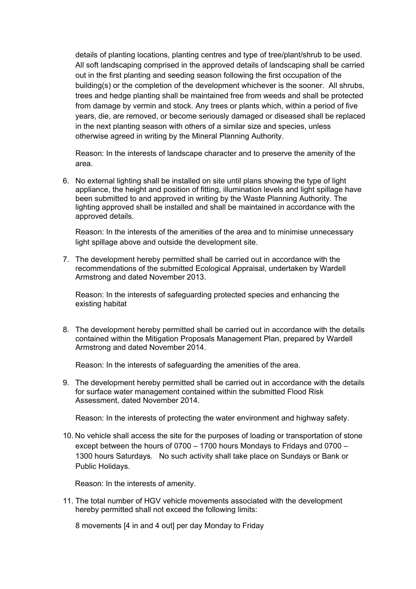details of planting locations, planting centres and type of tree/plant/shrub to be used. All soft landscaping comprised in the approved details of landscaping shall be carried out in the first planting and seeding season following the first occupation of the building(s) or the completion of the development whichever is the sooner. All shrubs, trees and hedge planting shall be maintained free from weeds and shall be protected from damage by vermin and stock. Any trees or plants which, within a period of five years, die, are removed, or become seriously damaged or diseased shall be replaced in the next planting season with others of a similar size and species, unless otherwise agreed in writing by the Mineral Planning Authority.

Reason: In the interests of landscape character and to preserve the amenity of the area.

6. No external lighting shall be installed on site until plans showing the type of light appliance, the height and position of fitting, illumination levels and light spillage have been submitted to and approved in writing by the Waste Planning Authority. The lighting approved shall be installed and shall be maintained in accordance with the approved details.

Reason: In the interests of the amenities of the area and to minimise unnecessary light spillage above and outside the development site.

7. The development hereby permitted shall be carried out in accordance with the recommendations of the submitted Ecological Appraisal, undertaken by Wardell Armstrong and dated November 2013.

Reason: In the interests of safeguarding protected species and enhancing the existing habitat

8. The development hereby permitted shall be carried out in accordance with the details contained within the Mitigation Proposals Management Plan, prepared by Wardell Armstrong and dated November 2014.

Reason: In the interests of safeguarding the amenities of the area.

9. The development hereby permitted shall be carried out in accordance with the details for surface water management contained within the submitted Flood Risk Assessment, dated November 2014.

Reason: In the interests of protecting the water environment and highway safety.

10. No vehicle shall access the site for the purposes of loading or transportation of stone except between the hours of 0700 – 1700 hours Mondays to Fridays and 0700 – 1300 hours Saturdays. No such activity shall take place on Sundays or Bank or Public Holidays.

Reason: In the interests of amenity.

11. The total number of HGV vehicle movements associated with the development hereby permitted shall not exceed the following limits:

8 movements [4 in and 4 out] per day Monday to Friday